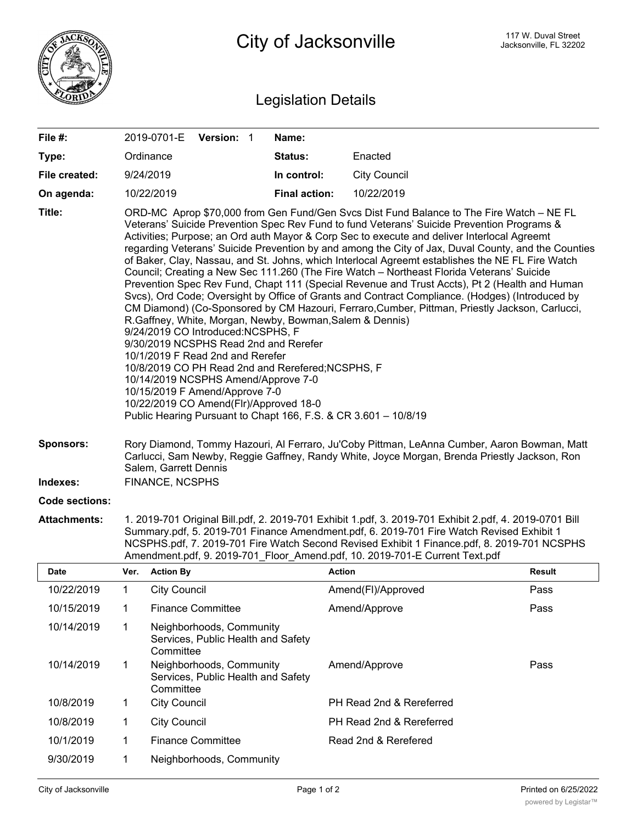

## Legislation Details

| File #:        | 2019-0701-E                                                                                                                                                                                                                       | <b>Version: 1</b> |  | Name:                                                                                                                                                                            |                                                                                                                                                                                                                                                                                                                                                                                                                                                                                                                                                                                                                                                                                                                                                                                                                                                                                                     |
|----------------|-----------------------------------------------------------------------------------------------------------------------------------------------------------------------------------------------------------------------------------|-------------------|--|----------------------------------------------------------------------------------------------------------------------------------------------------------------------------------|-----------------------------------------------------------------------------------------------------------------------------------------------------------------------------------------------------------------------------------------------------------------------------------------------------------------------------------------------------------------------------------------------------------------------------------------------------------------------------------------------------------------------------------------------------------------------------------------------------------------------------------------------------------------------------------------------------------------------------------------------------------------------------------------------------------------------------------------------------------------------------------------------------|
| Type:          | Ordinance                                                                                                                                                                                                                         |                   |  | Status:                                                                                                                                                                          | Enacted                                                                                                                                                                                                                                                                                                                                                                                                                                                                                                                                                                                                                                                                                                                                                                                                                                                                                             |
| File created:  | 9/24/2019                                                                                                                                                                                                                         |                   |  | In control:                                                                                                                                                                      | <b>City Council</b>                                                                                                                                                                                                                                                                                                                                                                                                                                                                                                                                                                                                                                                                                                                                                                                                                                                                                 |
| On agenda:     | 10/22/2019                                                                                                                                                                                                                        |                   |  | <b>Final action:</b>                                                                                                                                                             | 10/22/2019                                                                                                                                                                                                                                                                                                                                                                                                                                                                                                                                                                                                                                                                                                                                                                                                                                                                                          |
| Title:         | 9/24/2019 CO Introduced:NCSPHS, F<br>9/30/2019 NCSPHS Read 2nd and Rerefer<br>10/1/2019 F Read 2nd and Rerefer<br>10/14/2019 NCSPHS Amend/Approve 7-0<br>10/15/2019 F Amend/Approve 7-0<br>10/22/2019 CO Amend(Flr)/Approved 18-0 |                   |  | R.Gaffney, White, Morgan, Newby, Bowman, Salem & Dennis)<br>10/8/2019 CO PH Read 2nd and Rerefered; NCSPHS, F<br>Public Hearing Pursuant to Chapt 166, F.S. & CR 3.601 - 10/8/19 | ORD-MC Aprop \$70,000 from Gen Fund/Gen Svcs Dist Fund Balance to The Fire Watch - NE FL<br>Veterans' Suicide Prevention Spec Rev Fund to fund Veterans' Suicide Prevention Programs &<br>Activities; Purpose; an Ord auth Mayor & Corp Sec to execute and deliver Interlocal Agreemt<br>regarding Veterans' Suicide Prevention by and among the City of Jax, Duval County, and the Counties<br>of Baker, Clay, Nassau, and St. Johns, which Interlocal Agreemt establishes the NE FL Fire Watch<br>Council; Creating a New Sec 111.260 (The Fire Watch - Northeast Florida Veterans' Suicide<br>Prevention Spec Rev Fund, Chapt 111 (Special Revenue and Trust Accts), Pt 2 (Health and Human<br>Svcs), Ord Code; Oversight by Office of Grants and Contract Compliance. (Hodges) (Introduced by<br>CM Diamond) (Co-Sponsored by CM Hazouri, Ferraro, Cumber, Pittman, Priestly Jackson, Carlucci, |
| Sponsors:      | Rory Diamond, Tommy Hazouri, Al Ferraro, Ju'Coby Pittman, LeAnna Cumber, Aaron Bowman, Matt<br>Carlucci, Sam Newby, Reggie Gaffney, Randy White, Joyce Morgan, Brenda Priestly Jackson, Ron<br>Salem, Garrett Dennis              |                   |  |                                                                                                                                                                                  |                                                                                                                                                                                                                                                                                                                                                                                                                                                                                                                                                                                                                                                                                                                                                                                                                                                                                                     |
| Indexes:       | <b>FINANCE, NCSPHS</b>                                                                                                                                                                                                            |                   |  |                                                                                                                                                                                  |                                                                                                                                                                                                                                                                                                                                                                                                                                                                                                                                                                                                                                                                                                                                                                                                                                                                                                     |
| Code sections: |                                                                                                                                                                                                                                   |                   |  |                                                                                                                                                                                  |                                                                                                                                                                                                                                                                                                                                                                                                                                                                                                                                                                                                                                                                                                                                                                                                                                                                                                     |

**Attachments:** 1. 2019-701 Original Bill.pdf, 2. 2019-701 Exhibit 1.pdf, 3. 2019-701 Exhibit 2.pdf, 4. 2019-0701 Bill Summary.pdf, 5. 2019-701 Finance Amendment.pdf, 6. 2019-701 Fire Watch Revised Exhibit 1 NCSPHS.pdf, 7. 2019-701 Fire Watch Second Revised Exhibit 1 Finance.pdf, 8. 2019-701 NCSPHS Amendment.pdf, 9. 2019-701\_Floor\_Amend.pdf, 10. 2019-701-E Current Text.pdf

| <b>Date</b> | Ver. | <b>Action By</b>                                                            | <b>Action</b>            | <b>Result</b> |
|-------------|------|-----------------------------------------------------------------------------|--------------------------|---------------|
| 10/22/2019  |      | <b>City Council</b>                                                         | Amend(FI)/Approved       | Pass          |
| 10/15/2019  | 1    | <b>Finance Committee</b>                                                    | Amend/Approve            | Pass          |
| 10/14/2019  |      | Neighborhoods, Community<br>Services, Public Health and Safety<br>Committee |                          |               |
| 10/14/2019  |      | Neighborhoods, Community<br>Services, Public Health and Safety<br>Committee | Amend/Approve            | Pass          |
| 10/8/2019   | 1    | <b>City Council</b>                                                         | PH Read 2nd & Rereferred |               |
| 10/8/2019   | 1    | <b>City Council</b>                                                         | PH Read 2nd & Rereferred |               |
| 10/1/2019   |      | <b>Finance Committee</b>                                                    | Read 2nd & Rerefered     |               |
| 9/30/2019   |      | Neighborhoods, Community                                                    |                          |               |

<u>Committee Committee</u>